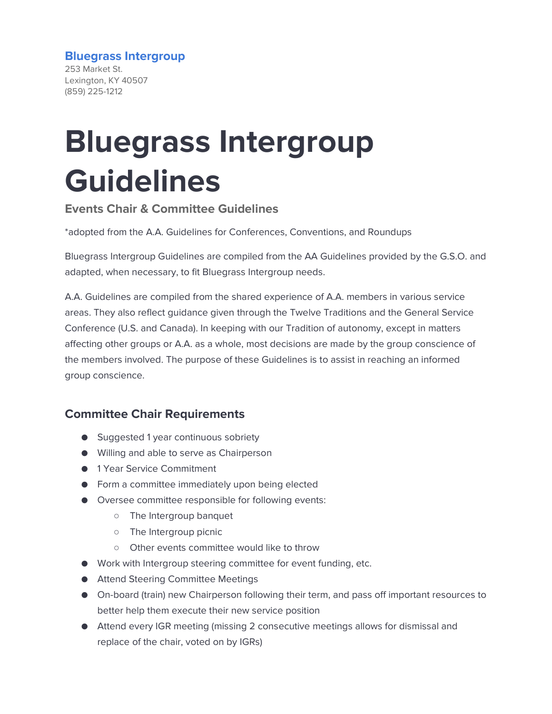#### **Bluegrass Intergroup**

253 Market St. Lexington, KY 40507 (859) 225-1212

# **Bluegrass Intergroup Guidelines**

**Events Chair & Committee Guidelines**

\*adopted from the A.A. Guidelines for Conferences, Conventions, and Roundups

Bluegrass Intergroup Guidelines are compiled from the AA Guidelines provided by the G.S.O. and adapted, when necessary, to fit Bluegrass Intergroup needs.

A.A. Guidelines are compiled from the shared experience of A.A. members in various service areas. They also reflect guidance given through the Twelve Traditions and the General Service Conference (U.S. and Canada). In keeping with our Tradition of autonomy, except in matters affecting other groups or A.A. as a whole, most decisions are made by the group conscience of the members involved. The purpose of these Guidelines is to assist in reaching an informed group conscience.

## **Committee Chair Requirements**

- Suggested 1 year continuous sobriety
- Willing and able to serve as Chairperson
- 1 Year Service Commitment
- Form a committee immediately upon being elected
- Oversee committee responsible for following events:
	- The Intergroup banquet
	- The Intergroup picnic
	- Other events committee would like to throw
- Work with Intergroup steering committee for event funding, etc.
- Attend Steering Committee Meetings
- On-board (train) new Chairperson following their term, and pass off important resources to better help them execute their new service position
- Attend every IGR meeting (missing 2 consecutive meetings allows for dismissal and replace of the chair, voted on by IGRs)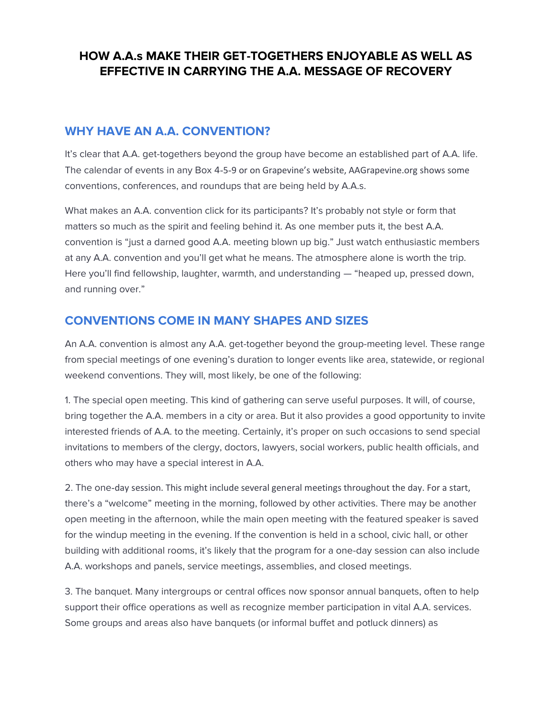# **HOW A.A.s MAKE THEIR GET-TOGETHERS ENJOYABLE AS WELL AS EFFECTIVE IN CARRYING THE A.A. MESSAGE OF RECOVERY**

# **WHY HAVE AN A.A. CONVENTION?**

It's clear that A.A. get-togethers beyond the group have become an established part of A.A. life. The calendar of events in any Box 4‑5‑9 or on Grapevine's website, AAGrapevine.org shows some conventions, conferences, and roundups that are being held by A.A.s.

What makes an A.A. convention click for its participants? It's probably not style or form that matters so much as the spirit and feeling behind it. As one member puts it, the best A.A. convention is "just a darned good A.A. meeting blown up big." Just watch enthusiastic members at any A.A. convention and you'll get what he means. The atmosphere alone is worth the trip. Here you'll find fellowship, laughter, warmth, and understanding — "heaped up, pressed down, and running over."

# **CONVENTIONS COME IN MANY SHAPES AND SIZES**

An A.A. convention is almost any A.A. get-together beyond the group-meeting level. These range from special meetings of one evening's duration to longer events like area, statewide, or regional weekend conventions. They will, most likely, be one of the following:

1. The special open meeting. This kind of gathering can serve useful purposes. It will, of course, bring together the A.A. members in a city or area. But it also provides a good opportunity to invite interested friends of A.A. to the meeting. Certainly, it's proper on such occasions to send special invitations to members of the clergy, doctors, lawyers, social workers, public health officials, and others who may have a special interest in A.A.

2. The one-day session. This might include several general meetings throughout the day. For a start, there's a "welcome" meeting in the morning, followed by other activities. There may be another open meeting in the afternoon, while the main open meeting with the featured speaker is saved for the windup meeting in the evening. If the convention is held in a school, civic hall, or other building with additional rooms, it's likely that the program for a one-day session can also include A.A. workshops and panels, service meetings, assemblies, and closed meetings.

3. The banquet. Many intergroups or central offices now sponsor annual banquets, often to help support their office operations as well as recognize member participation in vital A.A. services. Some groups and areas also have banquets (or informal buffet and potluck dinners) as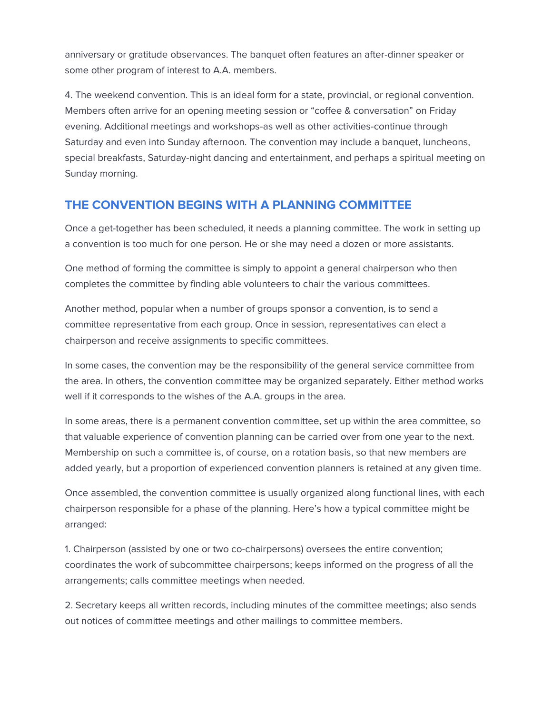anniversary or gratitude observances. The banquet often features an after-dinner speaker or some other program of interest to A.A. members.

4. The weekend convention. This is an ideal form for a state, provincial, or regional convention. Members often arrive for an opening meeting session or "coffee & conversation" on Friday evening. Additional meetings and workshops-as well as other activities-continue through Saturday and even into Sunday afternoon. The convention may include a banquet, luncheons, special breakfasts, Saturday-night dancing and entertainment, and perhaps a spiritual meeting on Sunday morning.

# **THE CONVENTION BEGINS WITH A PLANNING COMMITTEE**

Once a get-together has been scheduled, it needs a planning committee. The work in setting up a convention is too much for one person. He or she may need a dozen or more assistants.

One method of forming the committee is simply to appoint a general chairperson who then completes the committee by finding able volunteers to chair the various committees.

Another method, popular when a number of groups sponsor a convention, is to send a committee representative from each group. Once in session, representatives can elect a chairperson and receive assignments to specific committees.

In some cases, the convention may be the responsibility of the general service committee from the area. In others, the convention committee may be organized separately. Either method works well if it corresponds to the wishes of the A.A. groups in the area.

In some areas, there is a permanent convention committee, set up within the area committee, so that valuable experience of convention planning can be carried over from one year to the next. Membership on such a committee is, of course, on a rotation basis, so that new members are added yearly, but a proportion of experienced convention planners is retained at any given time.

Once assembled, the convention committee is usually organized along functional lines, with each chairperson responsible for a phase of the planning. Here's how a typical committee might be arranged:

1. Chairperson (assisted by one or two co-chairpersons) oversees the entire convention; coordinates the work of subcommittee chairpersons; keeps informed on the progress of all the arrangements; calls committee meetings when needed.

2. Secretary keeps all written records, including minutes of the committee meetings; also sends out notices of committee meetings and other mailings to committee members.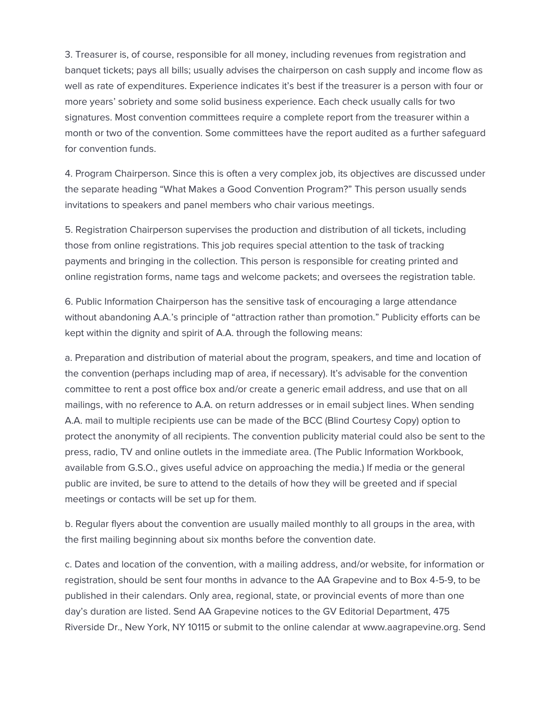3. Treasurer is, of course, responsible for all money, including revenues from registration and banquet tickets; pays all bills; usually advises the chairperson on cash supply and income flow as well as rate of expenditures. Experience indicates it's best if the treasurer is a person with four or more years' sobriety and some solid business experience. Each check usually calls for two signatures. Most convention committees require a complete report from the treasurer within a month or two of the convention. Some committees have the report audited as a further safeguard for convention funds.

4. Program Chairperson. Since this is often a very complex job, its objectives are discussed under the separate heading "What Makes a Good Convention Program?" This person usually sends invitations to speakers and panel members who chair various meetings.

5. Registration Chairperson supervises the production and distribution of all tickets, including those from online registrations. This job requires special attention to the task of tracking payments and bringing in the collection. This person is responsible for creating printed and online registration forms, name tags and welcome packets; and oversees the registration table.

6. Public Information Chairperson has the sensitive task of encouraging a large attendance without abandoning A.A.'s principle of "attraction rather than promotion." Publicity efforts can be kept within the dignity and spirit of A.A. through the following means:

a. Preparation and distribution of material about the program, speakers, and time and location of the convention (perhaps including map of area, if necessary). It's advisable for the convention committee to rent a post office box and/or create a generic email address, and use that on all mailings, with no reference to A.A. on return addresses or in email subject lines. When sending A.A. mail to multiple recipients use can be made of the BCC (Blind Courtesy Copy) option to protect the anonymity of all recipients. The convention publicity material could also be sent to the press, radio, TV and online outlets in the immediate area. (The Public Information Workbook, available from G.S.O., gives useful advice on approaching the media.) If media or the general public are invited, be sure to attend to the details of how they will be greeted and if special meetings or contacts will be set up for them.

b. Regular flyers about the convention are usually mailed monthly to all groups in the area, with the first mailing beginning about six months before the convention date.

c. Dates and location of the convention, with a mailing address, and/or website, for information or registration, should be sent four months in advance to the AA Grapevine and to Box 4-5-9, to be published in their calendars. Only area, regional, state, or provincial events of more than one day's duration are listed. Send AA Grapevine notices to the GV Editorial Department, 475 Riverside Dr., New York, NY 10115 or submit to the online calendar at www.aagrapevine.org. Send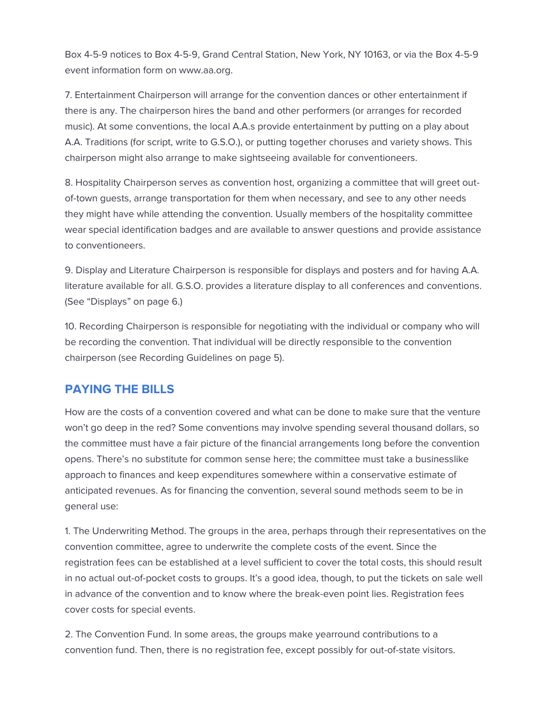Box 4-5-9 notices to Box 4-5-9, Grand Central Station, New York, NY 10163, or via the Box 4-5-9 event information form on www.aa.org.

7. Entertainment Chairperson will arrange for the convention dances or other entertainment if there is any. The chairperson hires the band and other performers (or arranges for recorded music). At some conventions, the local A.A.s provide entertainment by putting on a play about A.A. Traditions (for script, write to G.S.O.), or putting together choruses and variety shows. This chairperson might also arrange to make sightseeing available for conventioneers.

8. Hospitality Chairperson serves as convention host, organizing a committee that will greet outof-town guests, arrange transportation for them when necessary, and see to any other needs they might have while attending the convention. Usually members of the hospitality committee wear special identification badges and are available to answer questions and provide assistance to conventioneers.

9. Display and Literature Chairperson is responsible for displays and posters and for having A.A. literature available for all. G.S.O. provides a literature display to all conferences and conventions. (See "Displays" on page 6.)

10. Recording Chairperson is responsible for negotiating with the individual or company who will be recording the convention. That individual will be directly responsible to the convention chairperson (see Recording Guidelines on page 5).

# **PAYING THE BILLS**

How are the costs of a convention covered and what can be done to make sure that the venture won't go deep in the red? Some conventions may involve spending several thousand dollars, so the committee must have a fair picture of the financial arrangements long before the convention opens. There's no substitute for common sense here; the committee must take a businesslike approach to finances and keep expenditures somewhere within a conservative estimate of anticipated revenues. As for financing the convention, several sound methods seem to be in general use:

1. The Underwriting Method. The groups in the area, perhaps through their representatives on the convention committee, agree to underwrite the complete costs of the event. Since the registration fees can be established at a level sufficient to cover the total costs, this should result in no actual out-of-pocket costs to groups. It's a good idea, though, to put the tickets on sale well in advance of the convention and to know where the break-even point lies. Registration fees cover costs for special events.

2. The Convention Fund. In some areas, the groups make yearround contributions to a convention fund. Then, there is no registration fee, except possibly for out-of-state visitors.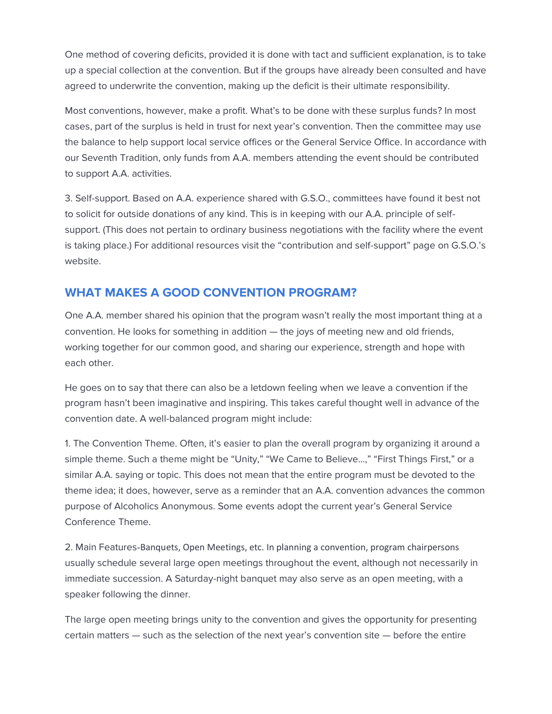One method of covering deficits, provided it is done with tact and sufficient explanation, is to take up a special collection at the convention. But if the groups have already been consulted and have agreed to underwrite the convention, making up the deficit is their ultimate responsibility.

Most conventions, however, make a profit. What's to be done with these surplus funds? In most cases, part of the surplus is held in trust for next year's convention. Then the committee may use the balance to help support local service offices or the General Service Office. In accordance with our Seventh Tradition, only funds from A.A. members attending the event should be contributed to support A.A. activities.

3. Self-support. Based on A.A. experience shared with G.S.O., committees have found it best not to solicit for outside donations of any kind. This is in keeping with our A.A. principle of selfsupport. (This does not pertain to ordinary business negotiations with the facility where the event is taking place.) For additional resources visit the "contribution and self-support" page on G.S.O.'s website.

# **WHAT MAKES A GOOD CONVENTION PROGRAM?**

One A.A. member shared his opinion that the program wasn't really the most important thing at a convention. He looks for something in addition — the joys of meeting new and old friends, working together for our common good, and sharing our experience, strength and hope with each other.

He goes on to say that there can also be a letdown feeling when we leave a convention if the program hasn't been imaginative and inspiring. This takes careful thought well in advance of the convention date. A well-balanced program might include:

1. The Convention Theme. Often, it's easier to plan the overall program by organizing it around a simple theme. Such a theme might be "Unity," "We Came to Believe...," "First Things First," or a similar A.A. saying or topic. This does not mean that the entire program must be devoted to the theme idea; it does, however, serve as a reminder that an A.A. convention advances the common purpose of Alcoholics Anonymous. Some events adopt the current year's General Service Conference Theme.

2. Main Features-Banquets, Open Meetings, etc. In planning a convention, program chairpersons usually schedule several large open meetings throughout the event, although not necessarily in immediate succession. A Saturday-night banquet may also serve as an open meeting, with a speaker following the dinner.

The large open meeting brings unity to the convention and gives the opportunity for presenting certain matters — such as the selection of the next year's convention site — before the entire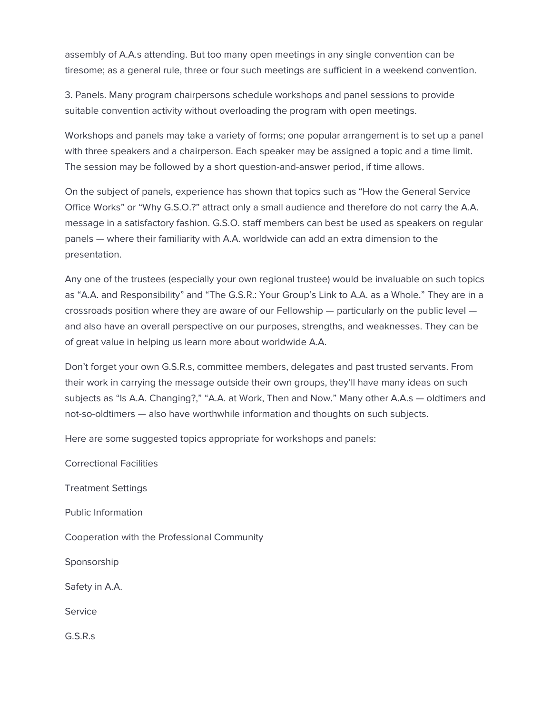assembly of A.A.s attending. But too many open meetings in any single convention can be tiresome; as a general rule, three or four such meetings are sufficient in a weekend convention.

3. Panels. Many program chairpersons schedule workshops and panel sessions to provide suitable convention activity without overloading the program with open meetings.

Workshops and panels may take a variety of forms; one popular arrangement is to set up a panel with three speakers and a chairperson. Each speaker may be assigned a topic and a time limit. The session may be followed by a short question-and-answer period, if time allows.

On the subject of panels, experience has shown that topics such as "How the General Service Office Works" or "Why G.S.O.?" attract only a small audience and therefore do not carry the A.A. message in a satisfactory fashion. G.S.O. staff members can best be used as speakers on regular panels — where their familiarity with A.A. worldwide can add an extra dimension to the presentation.

Any one of the trustees (especially your own regional trustee) would be invaluable on such topics as "A.A. and Responsibility" and "The G.S.R.: Your Group's Link to A.A. as a Whole." They are in a crossroads position where they are aware of our Fellowship — particularly on the public level and also have an overall perspective on our purposes, strengths, and weaknesses. They can be of great value in helping us learn more about worldwide A.A.

Don't forget your own G.S.R.s, committee members, delegates and past trusted servants. From their work in carrying the message outside their own groups, they'll have many ideas on such subjects as "Is A.A. Changing?," "A.A. at Work, Then and Now." Many other A.A.s — oldtimers and not-so-oldtimers — also have worthwhile information and thoughts on such subjects.

Here are some suggested topics appropriate for workshops and panels:

Correctional Facilities Treatment Settings Public Information Cooperation with the Professional Community Sponsorship Safety in A.A. Service G.S.R.s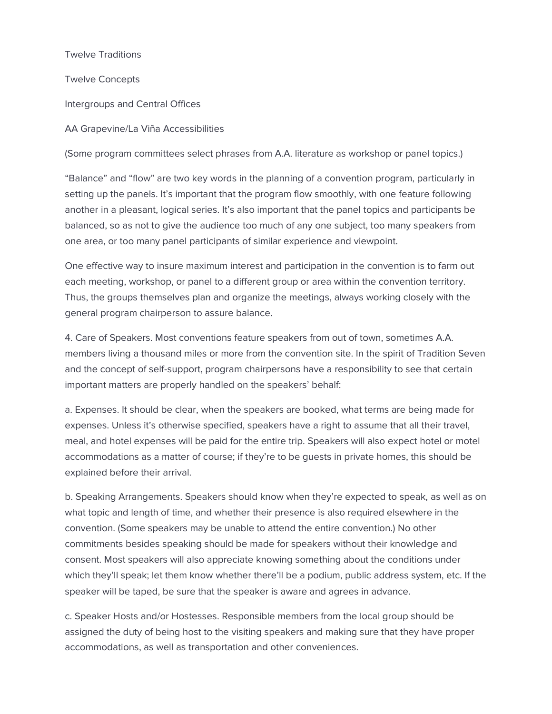Twelve Traditions

Twelve Concepts

Intergroups and Central Offices

AA Grapevine/La Viña Accessibilities

(Some program committees select phrases from A.A. literature as workshop or panel topics.)

"Balance" and "flow" are two key words in the planning of a convention program, particularly in setting up the panels. It's important that the program flow smoothly, with one feature following another in a pleasant, logical series. It's also important that the panel topics and participants be balanced, so as not to give the audience too much of any one subject, too many speakers from one area, or too many panel participants of similar experience and viewpoint.

One effective way to insure maximum interest and participation in the convention is to farm out each meeting, workshop, or panel to a different group or area within the convention territory. Thus, the groups themselves plan and organize the meetings, always working closely with the general program chairperson to assure balance.

4. Care of Speakers. Most conventions feature speakers from out of town, sometimes A.A. members living a thousand miles or more from the convention site. In the spirit of Tradition Seven and the concept of self-support, program chairpersons have a responsibility to see that certain important matters are properly handled on the speakers' behalf:

a. Expenses. It should be clear, when the speakers are booked, what terms are being made for expenses. Unless it's otherwise specified, speakers have a right to assume that all their travel, meal, and hotel expenses will be paid for the entire trip. Speakers will also expect hotel or motel accommodations as a matter of course; if they're to be guests in private homes, this should be explained before their arrival.

b. Speaking Arrangements. Speakers should know when they're expected to speak, as well as on what topic and length of time, and whether their presence is also required elsewhere in the convention. (Some speakers may be unable to attend the entire convention.) No other commitments besides speaking should be made for speakers without their knowledge and consent. Most speakers will also appreciate knowing something about the conditions under which they'll speak; let them know whether there'll be a podium, public address system, etc. If the speaker will be taped, be sure that the speaker is aware and agrees in advance.

c. Speaker Hosts and/or Hostesses. Responsible members from the local group should be assigned the duty of being host to the visiting speakers and making sure that they have proper accommodations, as well as transportation and other conveniences.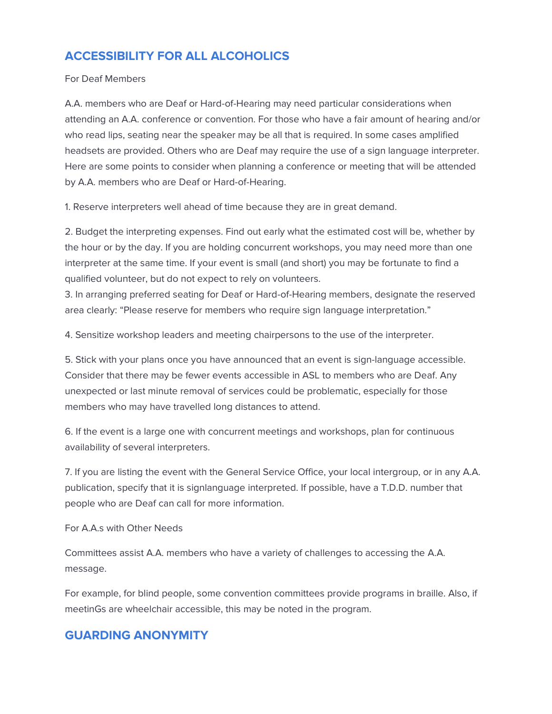# **ACCESSIBILITY FOR ALL ALCOHOLICS**

#### For Deaf Members

A.A. members who are Deaf or Hard-of-Hearing may need particular considerations when attending an A.A. conference or convention. For those who have a fair amount of hearing and/or who read lips, seating near the speaker may be all that is required. In some cases amplified headsets are provided. Others who are Deaf may require the use of a sign language interpreter. Here are some points to consider when planning a conference or meeting that will be attended by A.A. members who are Deaf or Hard-of-Hearing.

1. Reserve interpreters well ahead of time because they are in great demand.

2. Budget the interpreting expenses. Find out early what the estimated cost will be, whether by the hour or by the day. If you are holding concurrent workshops, you may need more than one interpreter at the same time. If your event is small (and short) you may be fortunate to find a qualified volunteer, but do not expect to rely on volunteers.

3. In arranging preferred seating for Deaf or Hard-of-Hearing members, designate the reserved area clearly: "Please reserve for members who require sign language interpretation."

4. Sensitize workshop leaders and meeting chairpersons to the use of the interpreter.

5. Stick with your plans once you have announced that an event is sign-language accessible. Consider that there may be fewer events accessible in ASL to members who are Deaf. Any unexpected or last minute removal of services could be problematic, especially for those members who may have travelled long distances to attend.

6. If the event is a large one with concurrent meetings and workshops, plan for continuous availability of several interpreters.

7. If you are listing the event with the General Service Office, your local intergroup, or in any A.A. publication, specify that it is signlanguage interpreted. If possible, have a T.D.D. number that people who are Deaf can call for more information.

For A.A.s with Other Needs

Committees assist A.A. members who have a variety of challenges to accessing the A.A. message.

For example, for blind people, some convention committees provide programs in braille. Also, if meetinGs are wheelchair accessible, this may be noted in the program.

## **GUARDING ANONYMITY**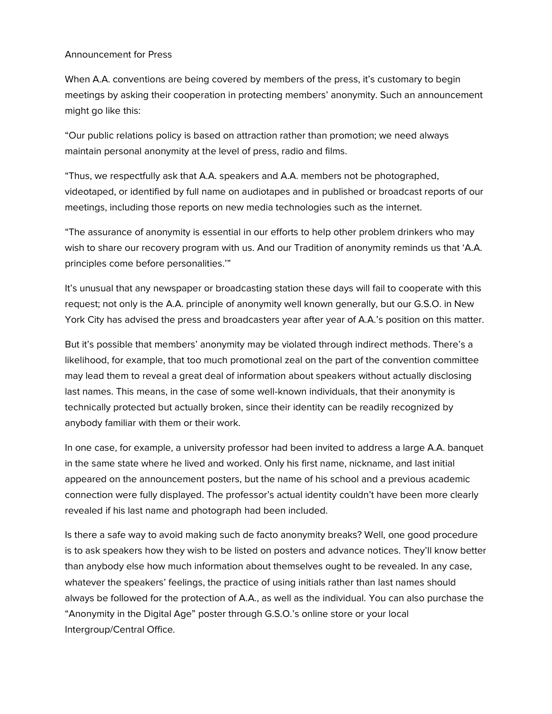#### Announcement for Press

When A.A. conventions are being covered by members of the press, it's customary to begin meetings by asking their cooperation in protecting members' anonymity. Such an announcement might go like this:

"Our public relations policy is based on attraction rather than promotion; we need always maintain personal anonymity at the level of press, radio and films.

"Thus, we respectfully ask that A.A. speakers and A.A. members not be photographed, videotaped, or identified by full name on audiotapes and in published or broadcast reports of our meetings, including those reports on new media technologies such as the internet.

"The assurance of anonymity is essential in our efforts to help other problem drinkers who may wish to share our recovery program with us. And our Tradition of anonymity reminds us that 'A.A. principles come before personalities.'"

It's unusual that any newspaper or broadcasting station these days will fail to cooperate with this request; not only is the A.A. principle of anonymity well known generally, but our G.S.O. in New York City has advised the press and broadcasters year after year of A.A.'s position on this matter.

But it's possible that members' anonymity may be violated through indirect methods. There's a likelihood, for example, that too much promotional zeal on the part of the convention committee may lead them to reveal a great deal of information about speakers without actually disclosing last names. This means, in the case of some well-known individuals, that their anonymity is technically protected but actually broken, since their identity can be readily recognized by anybody familiar with them or their work.

In one case, for example, a university professor had been invited to address a large A.A. banquet in the same state where he lived and worked. Only his first name, nickname, and last initial appeared on the announcement posters, but the name of his school and a previous academic connection were fully displayed. The professor's actual identity couldn't have been more clearly revealed if his last name and photograph had been included.

Is there a safe way to avoid making such de facto anonymity breaks? Well, one good procedure is to ask speakers how they wish to be listed on posters and advance notices. They'll know better than anybody else how much information about themselves ought to be revealed. In any case, whatever the speakers' feelings, the practice of using initials rather than last names should always be followed for the protection of A.A., as well as the individual. You can also purchase the "Anonymity in the Digital Age" poster through G.S.O.'s online store or your local Intergroup/Central Office.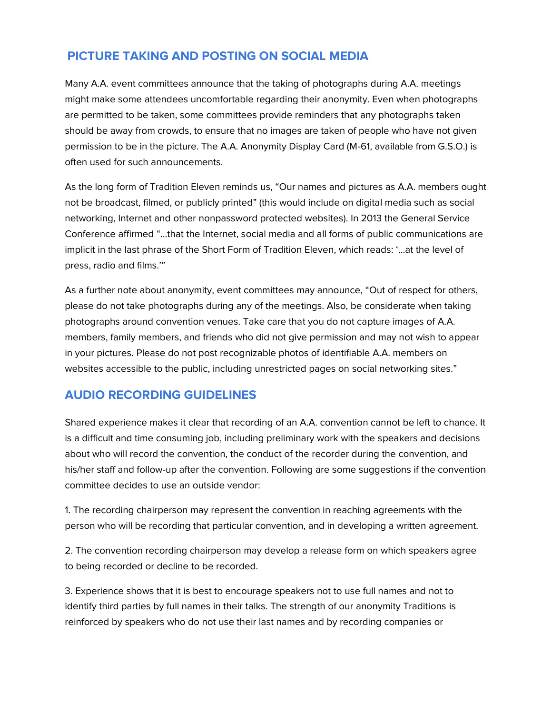# **PICTURE TAKING AND POSTING ON SOCIAL MEDIA**

Many A.A. event committees announce that the taking of photographs during A.A. meetings might make some attendees uncomfortable regarding their anonymity. Even when photographs are permitted to be taken, some committees provide reminders that any photographs taken should be away from crowds, to ensure that no images are taken of people who have not given permission to be in the picture. The A.A. Anonymity Display Card (M-61, available from G.S.O.) is often used for such announcements.

As the long form of Tradition Eleven reminds us, "Our names and pictures as A.A. members ought not be broadcast, filmed, or publicly printed" (this would include on digital media such as social networking, Internet and other nonpassword protected websites). In 2013 the General Service Conference affirmed "…that the Internet, social media and all forms of public communications are implicit in the last phrase of the Short Form of Tradition Eleven, which reads: '…at the level of press, radio and films.'"

As a further note about anonymity, event committees may announce, "Out of respect for others, please do not take photographs during any of the meetings. Also, be considerate when taking photographs around convention venues. Take care that you do not capture images of A.A. members, family members, and friends who did not give permission and may not wish to appear in your pictures. Please do not post recognizable photos of identifiable A.A. members on websites accessible to the public, including unrestricted pages on social networking sites."

# **AUDIO RECORDING GUIDELINES**

Shared experience makes it clear that recording of an A.A. convention cannot be left to chance. It is a difficult and time consuming job, including preliminary work with the speakers and decisions about who will record the convention, the conduct of the recorder during the convention, and his/her staff and follow-up after the convention. Following are some suggestions if the convention committee decides to use an outside vendor:

1. The recording chairperson may represent the convention in reaching agreements with the person who will be recording that particular convention, and in developing a written agreement.

2. The convention recording chairperson may develop a release form on which speakers agree to being recorded or decline to be recorded.

3. Experience shows that it is best to encourage speakers not to use full names and not to identify third parties by full names in their talks. The strength of our anonymity Traditions is reinforced by speakers who do not use their last names and by recording companies or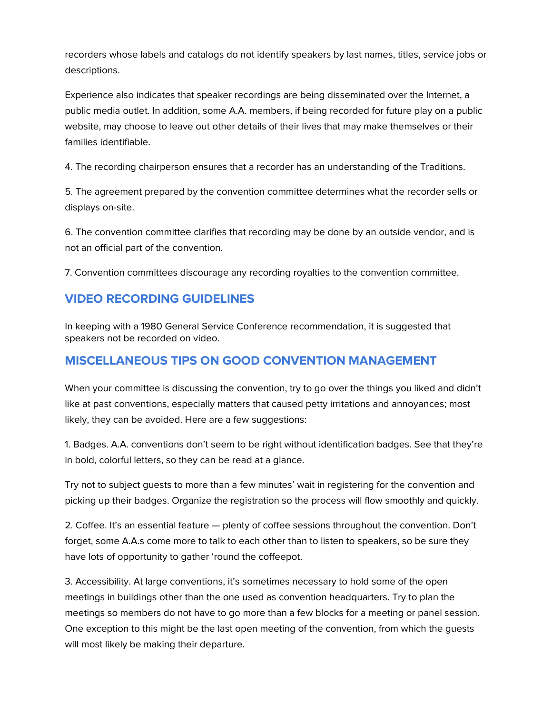recorders whose labels and catalogs do not identify speakers by last names, titles, service jobs or descriptions.

Experience also indicates that speaker recordings are being disseminated over the Internet, a public media outlet. In addition, some A.A. members, if being recorded for future play on a public website, may choose to leave out other details of their lives that may make themselves or their families identifiable.

4. The recording chairperson ensures that a recorder has an understanding of the Traditions.

5. The agreement prepared by the convention committee determines what the recorder sells or displays on-site.

6. The convention committee clarifies that recording may be done by an outside vendor, and is not an official part of the convention.

7. Convention committees discourage any recording royalties to the convention committee.

## **VIDEO RECORDING GUIDELINES**

In keeping with a 1980 General Service Conference recommendation, it is suggested that speakers not be recorded on video.

# **MISCELLANEOUS TIPS ON GOOD CONVENTION MANAGEMENT**

When your committee is discussing the convention, try to go over the things you liked and didn't like at past conventions, especially matters that caused petty irritations and annoyances; most likely, they can be avoided. Here are a few suggestions:

1. Badges. A.A. conventions don't seem to be right without identification badges. See that they're in bold, colorful letters, so they can be read at a glance.

Try not to subject guests to more than a few minutes' wait in registering for the convention and picking up their badges. Organize the registration so the process will flow smoothly and quickly.

2. Coffee. It's an essential feature — plenty of coffee sessions throughout the convention. Don't forget, some A.A.s come more to talk to each other than to listen to speakers, so be sure they have lots of opportunity to gather 'round the coffeepot.

3. Accessibility. At large conventions, it's sometimes necessary to hold some of the open meetings in buildings other than the one used as convention headquarters. Try to plan the meetings so members do not have to go more than a few blocks for a meeting or panel session. One exception to this might be the last open meeting of the convention, from which the guests will most likely be making their departure.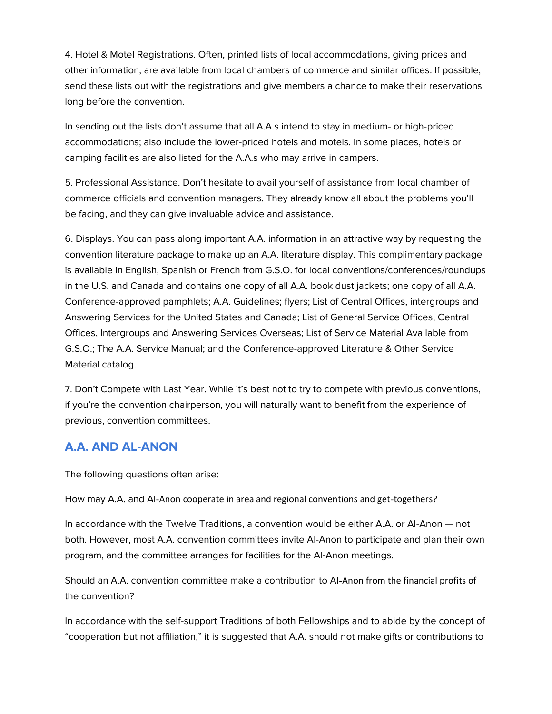4. Hotel & Motel Registrations. Often, printed lists of local accommodations, giving prices and other information, are available from local chambers of commerce and similar offices. If possible, send these lists out with the registrations and give members a chance to make their reservations long before the convention.

In sending out the lists don't assume that all A.A.s intend to stay in medium- or high-priced accommodations; also include the lower-priced hotels and motels. In some places, hotels or camping facilities are also listed for the A.A.s who may arrive in campers.

5. Professional Assistance. Don't hesitate to avail yourself of assistance from local chamber of commerce officials and convention managers. They already know all about the problems you'll be facing, and they can give invaluable advice and assistance.

6. Displays. You can pass along important A.A. information in an attractive way by requesting the convention literature package to make up an A.A. literature display. This complimentary package is available in English, Spanish or French from G.S.O. for local conventions/conferences/roundups in the U.S. and Canada and contains one copy of all A.A. book dust jackets; one copy of all A.A. Conference-approved pamphlets; A.A. Guidelines; flyers; List of Central Offices, intergroups and Answering Services for the United States and Canada; List of General Service Offices, Central Offices, Intergroups and Answering Services Overseas; List of Service Material Available from G.S.O.; The A.A. Service Manual; and the Conference-approved Literature & Other Service Material catalog.

7. Don't Compete with Last Year. While it's best not to try to compete with previous conventions, if you're the convention chairperson, you will naturally want to benefit from the experience of previous, convention committees.

# **A.A. AND AL-ANON**

The following questions often arise:

How may A.A. and AI-Anon cooperate in area and regional conventions and get-togethers?

In accordance with the Twelve Traditions, a convention would be either A.A. or Al-Anon — not both. However, most A.A. convention committees invite Al-Anon to participate and plan their own program, and the committee arranges for facilities for the Al-Anon meetings.

Should an A.A. convention committee make a contribution to Al-Anon from the financial profits of the convention?

In accordance with the self-support Traditions of both Fellowships and to abide by the concept of "cooperation but not affiliation," it is suggested that A.A. should not make gifts or contributions to